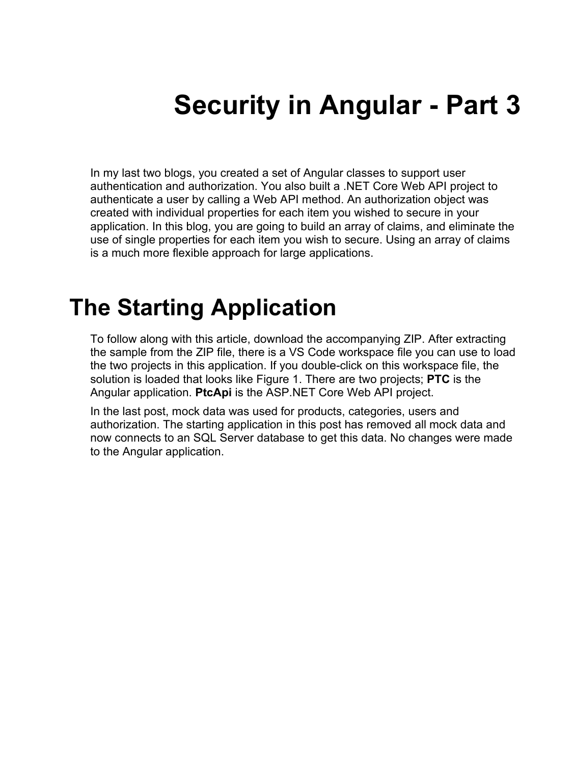# **Security in Angular - Part 3**

In my last two blogs, you created a set of Angular classes to support user authentication and authorization. You also built a .NET Core Web API project to authenticate a user by calling a Web API method. An authorization object was created with individual properties for each item you wished to secure in your application. In this blog, you are going to build an array of claims, and eliminate the use of single properties for each item you wish to secure. Using an array of claims is a much more flexible approach for large applications.

### **The Starting Application**

To follow along with this article, download the accompanying ZIP. After extracting the sample from the ZIP file, there is a VS Code workspace file you can use to load the two projects in this application. If you double-click on this workspace file, the solution is loaded that looks like Figure 1. There are two projects; **PTC** is the Angular application. **PtcApi** is the ASP.NET Core Web API project.

In the last post, mock data was used for products, categories, users and authorization. The starting application in this post has removed all mock data and now connects to an SQL Server database to get this data. No changes were made to the Angular application.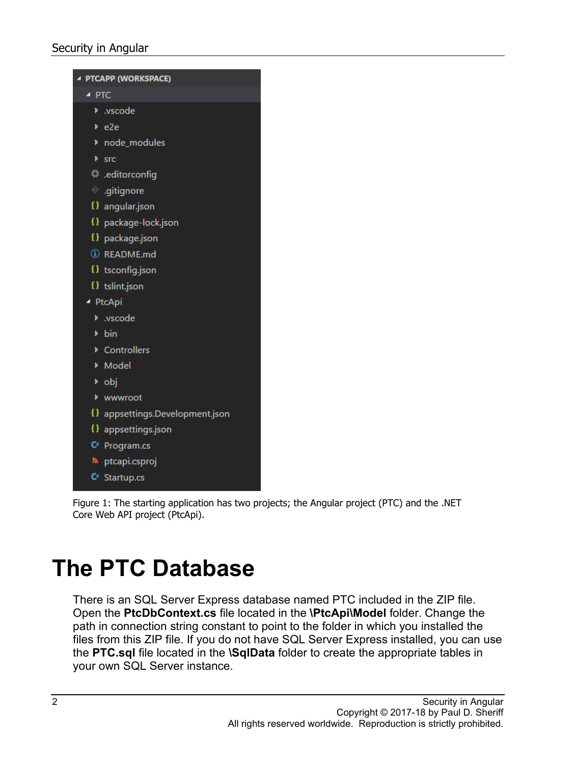

Figure 1: The starting application has two projects; the Angular project (PTC) and the .NET Core Web API project (PtcApi).

### **The PTC Database**

There is an SQL Server Express database named PTC included in the ZIP file. Open the **PtcDbContext.cs** file located in the **\PtcApi\Model** folder. Change the path in connection string constant to point to the folder in which you installed the files from this ZIP file. If you do not have SQL Server Express installed, you can use the **PTC.sql** file located in the **\SqlData** folder to create the appropriate tables in your own SQL Server instance.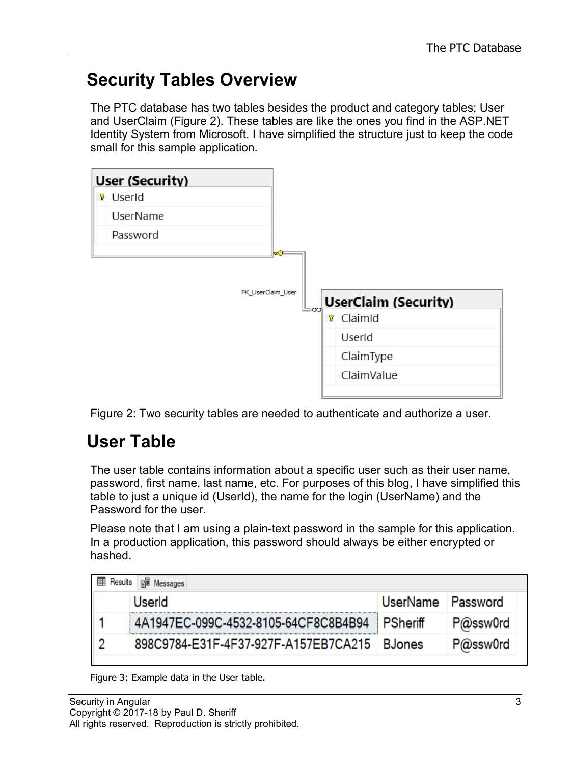#### **Security Tables Overview**

The PTC database has two tables besides the product and category tables; User and UserClaim (Figure 2). These tables are like the ones you find in the ASP.NET Identity System from Microsoft. I have simplified the structure just to keep the code small for this sample application.



Figure 2: Two security tables are needed to authenticate and authorize a user.

### **User Table**

The user table contains information about a specific user such as their user name, password, first name, last name, etc. For purposes of this blog, I have simplified this table to just a unique id (UserId), the name for the login (UserName) and the Password for the user.

Please note that I am using a plain-text password in the sample for this application. In a production application, this password should always be either encrypted or hashed.

| <b>B</b> Messages<br>囲<br>Results |                                      |          |          |  |  |  |
|-----------------------------------|--------------------------------------|----------|----------|--|--|--|
|                                   | UserId                               | UserName | Password |  |  |  |
|                                   | 4A1947EC-099C-4532-8105-64CF8C8B4B94 | PSheriff | P@ssw0rd |  |  |  |
|                                   | 898C9784-E31F-4F37-927F-A157EB7CA215 | BJones   | P@ssw0rd |  |  |  |

Figure 3: Example data in the User table.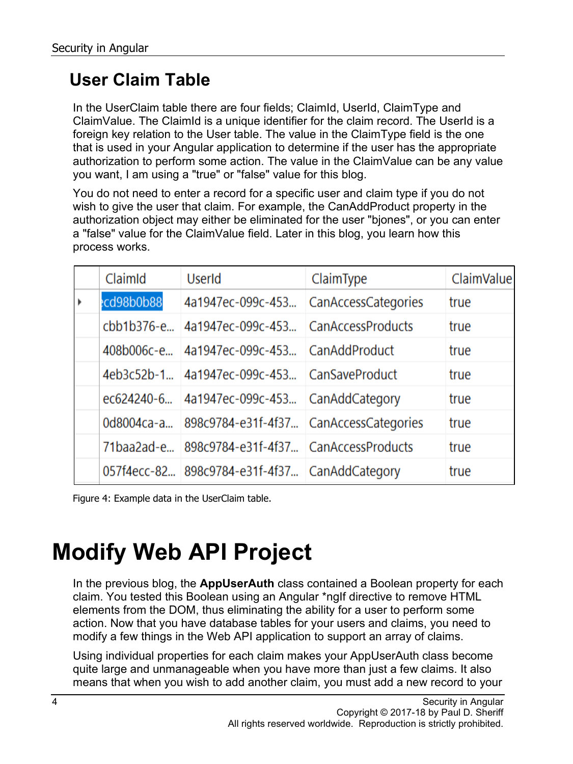### **User Claim Table**

In the UserClaim table there are four fields; ClaimId, UserId, ClaimType and ClaimValue. The ClaimId is a unique identifier for the claim record. The UserId is a foreign key relation to the User table. The value in the ClaimType field is the one that is used in your Angular application to determine if the user has the appropriate authorization to perform some action. The value in the ClaimValue can be any value you want, I am using a "true" or "false" value for this blog.

You do not need to enter a record for a specific user and claim type if you do not wish to give the user that claim. For example, the CanAddProduct property in the authorization object may either be eliminated for the user "bjones", or you can enter a "false" value for the ClaimValue field. Later in this blog, you learn how this process works.

|   | ClaimId    | UserId                                        | ClaimType                | <b>ClaimValue</b> |
|---|------------|-----------------------------------------------|--------------------------|-------------------|
| Þ | cd98b0b88  | 4a1947ec-099c-453                             | CanAccessCategories      | true              |
|   | cbb1b376-e | 4a1947ec-099c-453                             | <b>CanAccessProducts</b> | true              |
|   | 408b006c-e | 4a1947ec-099c-453                             | CanAddProduct            | true              |
|   | 4eb3c52b-1 | 4a1947ec-099c-453 CanSaveProduct              |                          | true              |
|   | ec624240-6 | 4a1947ec-099c-453 CanAddCategory              |                          | true              |
|   | 0d8004ca-a | 898c9784-e31f-4f37 CanAccessCategories        |                          | true              |
|   | 71baa2ad-e | 898c9784-e31f-4f37 CanAccessProducts          |                          | true              |
|   |            | 057f4ecc-82 898c9784-e31f-4f37 CanAddCategory |                          | true              |

Figure 4: Example data in the UserClaim table.

## **Modify Web API Project**

In the previous blog, the **AppUserAuth** class contained a Boolean property for each claim. You tested this Boolean using an Angular \*ngIf directive to remove HTML elements from the DOM, thus eliminating the ability for a user to perform some action. Now that you have database tables for your users and claims, you need to modify a few things in the Web API application to support an array of claims.

Using individual properties for each claim makes your AppUserAuth class become quite large and unmanageable when you have more than just a few claims. It also means that when you wish to add another claim, you must add a new record to your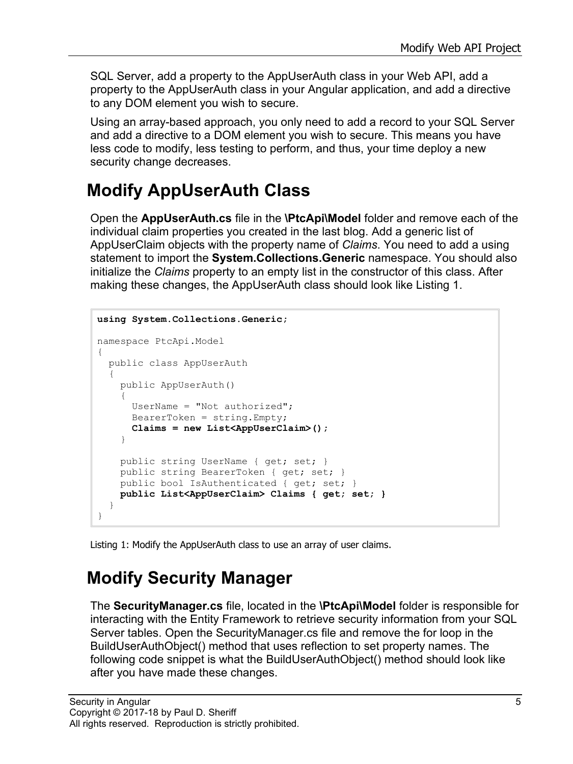SQL Server, add a property to the AppUserAuth class in your Web API, add a property to the AppUserAuth class in your Angular application, and add a directive to any DOM element you wish to secure.

Using an array-based approach, you only need to add a record to your SQL Server and add a directive to a DOM element you wish to secure. This means you have less code to modify, less testing to perform, and thus, your time deploy a new security change decreases.

#### **Modify AppUserAuth Class**

Open the **AppUserAuth.cs** file in the **\PtcApi\Model** folder and remove each of the individual claim properties you created in the last blog. Add a generic list of AppUserClaim objects with the property name of *Claims*. You need to add a using statement to import the **System.Collections.Generic** namespace. You should also initialize the *Claims* property to an empty list in the constructor of this class. After making these changes, the AppUserAuth class should look like [Listing 1.](#page-4-0)

```
using System.Collections.Generic;
namespace PtcApi.Model
{
  public class AppUserAuth
  {
     public AppUserAuth()
\{ UserName = "Not authorized";
      \texttt{BearerToken} = \texttt{string}.\texttt{Empty} Claims = new List<AppUserClaim>();
     }
    public string UserName { get; set; }
     public string BearerToken { get; set; }
     public bool IsAuthenticated { get; set; }
     public List<AppUserClaim> Claims { get; set; }
   }
}
```
<span id="page-4-0"></span>Listing 1: Modify the AppUserAuth class to use an array of user claims.

#### **Modify Security Manager**

The **SecurityManager.cs** file, located in the **\PtcApi\Model** folder is responsible for interacting with the Entity Framework to retrieve security information from your SQL Server tables. Open the SecurityManager.cs file and remove the for loop in the BuildUserAuthObject() method that uses reflection to set property names. The following code snippet is what the BuildUserAuthObject() method should look like after you have made these changes.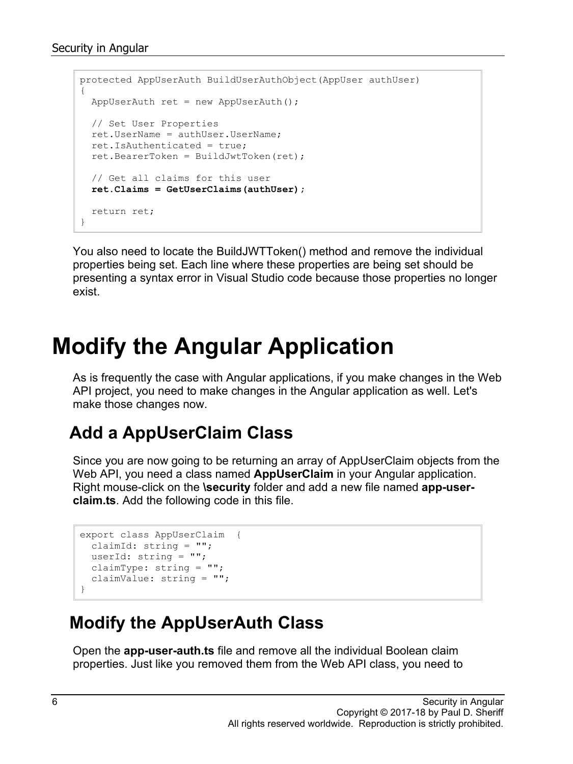```
protected AppUserAuth BuildUserAuthObject(AppUser authUser)
{
 AppUserAuth ret = new AppUserAuth();
   // Set User Properties
 ret.UserName = authUser.UserName;
  ret.IsAuthenticated = true;
  ret.BearerToken = BuildJwtToken(ret);
   // Get all claims for this user
   ret.Claims = GetUserClaims(authUser);
  return ret;
}
```
You also need to locate the BuildJWTToken() method and remove the individual properties being set. Each line where these properties are being set should be presenting a syntax error in Visual Studio code because those properties no longer exist.

### **Modify the Angular Application**

As is frequently the case with Angular applications, if you make changes in the Web API project, you need to make changes in the Angular application as well. Let's make those changes now.

#### **Add a AppUserClaim Class**

Since you are now going to be returning an array of AppUserClaim objects from the Web API, you need a class named **AppUserClaim** in your Angular application. Right mouse-click on the **\security** folder and add a new file named **app-userclaim.ts**. Add the following code in this file.

```
export class AppUserClaim {
  claimId: string = "";
  userId: string = "";
 claimType: string = "";
  claimValue: string = "";
}
```
#### **Modify the AppUserAuth Class**

Open the **app-user-auth.ts** file and remove all the individual Boolean claim properties. Just like you removed them from the Web API class, you need to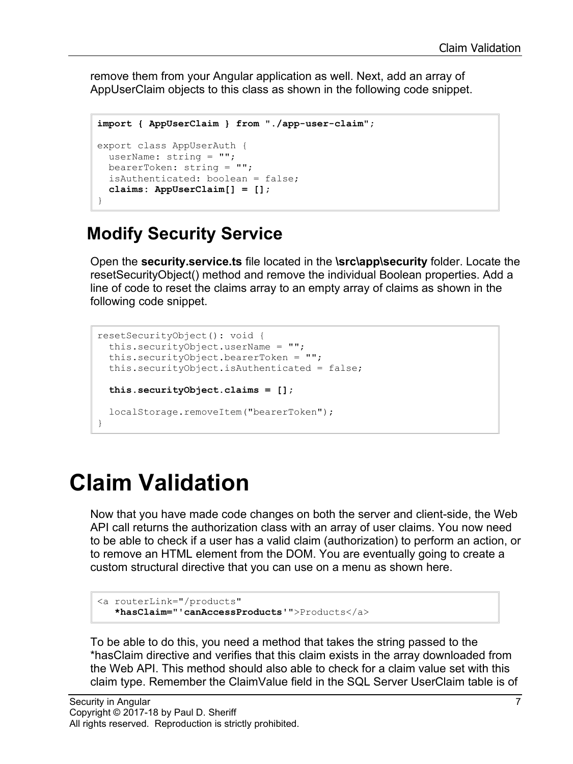remove them from your Angular application as well. Next, add an array of AppUserClaim objects to this class as shown in the following code snippet.

```
import { AppUserClaim } from "./app-user-claim";
export class AppUserAuth {
 userName: string = "";
  bearerToken: string = "";
  isAuthenticated: boolean = false;
   claims: AppUserClaim[] = [];
}
```
#### **Modify Security Service**

Open the **security.service.ts** file located in the **\src\app\security** folder. Locate the resetSecurityObject() method and remove the individual Boolean properties. Add a line of code to reset the claims array to an empty array of claims as shown in the following code snippet.

```
resetSecurityObject(): void {
  this.securityObject.userName = "";
  this.securityObject.bearerToken = "";
  this.securityObject.isAuthenticated = false;
  this.securityObject.claims = [];
   localStorage.removeItem("bearerToken");
}
```
### **Claim Validation**

Now that you have made code changes on both the server and client-side, the Web API call returns the authorization class with an array of user claims. You now need to be able to check if a user has a valid claim (authorization) to perform an action, or to remove an HTML element from the DOM. You are eventually going to create a custom structural directive that you can use on a menu as shown here.

```
<a routerLink="/products"
   *hasClaim="'canAccessProducts'">Products</a>
```
To be able to do this, you need a method that takes the string passed to the \*hasClaim directive and verifies that this claim exists in the array downloaded from the Web API. This method should also able to check for a claim value set with this claim type. Remember the ClaimValue field in the SQL Server UserClaim table is of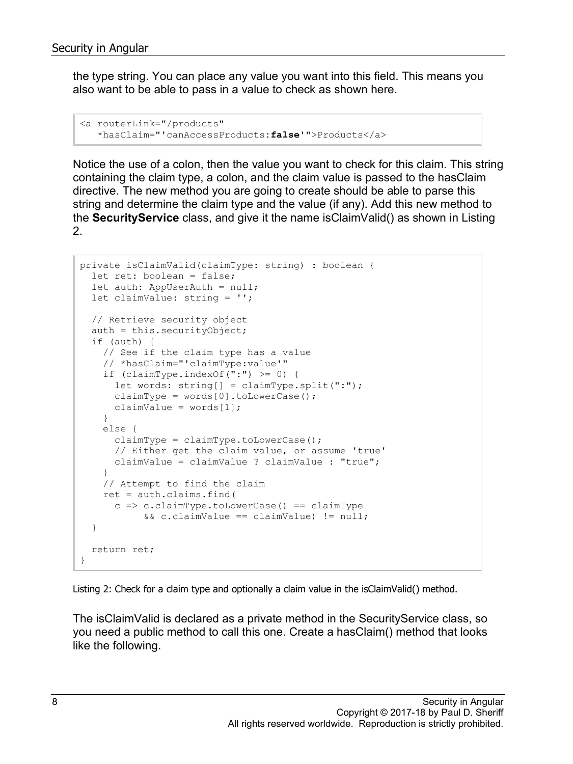the type string. You can place any value you want into this field. This means you also want to be able to pass in a value to check as shown here.

```
<a routerLink="/products"
   *hasClaim="'canAccessProducts:false'">Products</a>
```
Notice the use of a colon, then the value you want to check for this claim. This string containing the claim type, a colon, and the claim value is passed to the hasClaim directive. The new method you are going to create should be able to parse this string and determine the claim type and the value (if any). Add this new method to the **SecurityService** class, and give it the name isClaimValid() as shown in Listing 2.

```
private isClaimValid(claimType: string) : boolean {
   let ret: boolean = false;
   let auth: AppUserAuth = null;
   let claimValue: string = '';
   // Retrieve security object
  auth = this \cdot securityObject; if (auth) {
     // See if the claim type has a value
     // *hasClaim="'claimType:value'"
   if (claimType.indexOf('':') \ge 0) {
       let words: string[] = claimType.split(":");
      claimType = words[0] .tolowerCase();
      claimValue = words[1];
     }
     else {
      claimType = claimType.tolowerCase();
       // Either get the claim value, or assume 'true'
       claimValue = claimValue ? claimValue : "true";
     }
     // Attempt to find the claim
     ret = auth.claims.find(
      c \Rightarrow c.claimType.toLowerCase() == claimType
           &c.claimValue == claimValue) != null;
   }
   return ret;
}
```
Listing 2: Check for a claim type and optionally a claim value in the isClaimValid() method.

The isClaimValid is declared as a private method in the SecurityService class, so you need a public method to call this one. Create a hasClaim() method that looks like the following.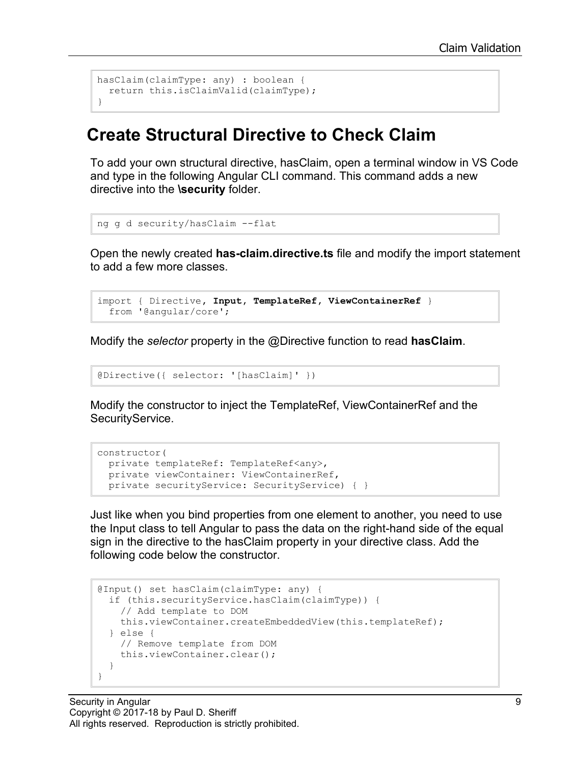```
hasClaim(claimType: any) : boolean {
  return this.isClaimValid(claimType);
}
```
#### **Create Structural Directive to Check Claim**

To add your own structural directive, hasClaim, open a terminal window in VS Code and type in the following Angular CLI command. This command adds a new directive into the **\security** folder.

```
ng g d security/hasClaim --flat
```
Open the newly created **has-claim.directive.ts** file and modify the import statement to add a few more classes.

```
import { Directive, Input, TemplateRef, ViewContainerRef }
 from '@angular/core';
```
Modify the *selector* property in the @Directive function to read **hasClaim**.

```
@Directive({ selector: '[hasClaim]' })
```
Modify the constructor to inject the TemplateRef, ViewContainerRef and the SecurityService.

```
constructor(
  private templateRef: TemplateRef<any>,
 private viewContainer: ViewContainerRef,
  private securityService: SecurityService) { }
```
Just like when you bind properties from one element to another, you need to use the Input class to tell Angular to pass the data on the right-hand side of the equal sign in the directive to the hasClaim property in your directive class. Add the following code below the constructor.

```
@Input() set hasClaim(claimType: any) {
   if (this.securityService.hasClaim(claimType)) {
     // Add template to DOM
    this.viewContainer.createEmbeddedView(this.templateRef);
   } else {
    // Remove template from DOM
     this.viewContainer.clear();
   }
}
```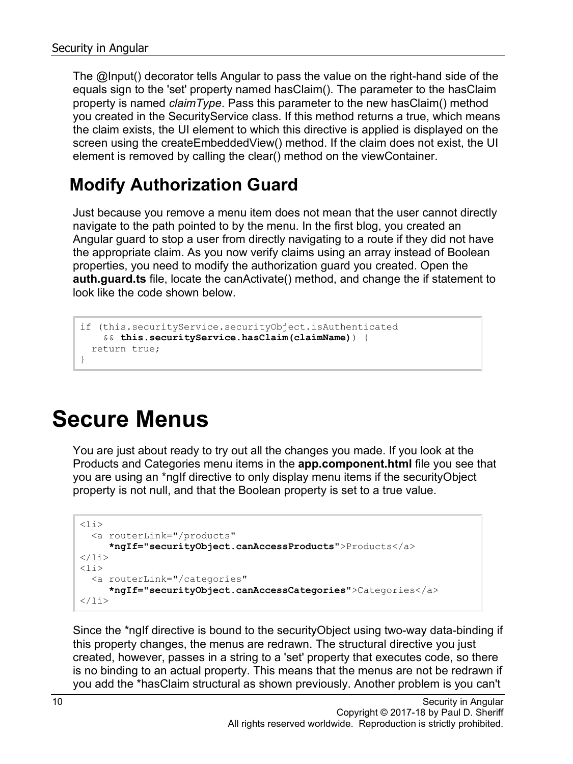The @Input() decorator tells Angular to pass the value on the right-hand side of the equals sign to the 'set' property named hasClaim(). The parameter to the hasClaim property is named *claimType*. Pass this parameter to the new hasClaim() method you created in the SecurityService class. If this method returns a true, which means the claim exists, the UI element to which this directive is applied is displayed on the screen using the createEmbeddedView() method. If the claim does not exist, the UI element is removed by calling the clear() method on the viewContainer.

#### **Modify Authorization Guard**

Just because you remove a menu item does not mean that the user cannot directly navigate to the path pointed to by the menu. In the first blog, you created an Angular guard to stop a user from directly navigating to a route if they did not have the appropriate claim. As you now verify claims using an array instead of Boolean properties, you need to modify the authorization guard you created. Open the **auth.guard.ts** file, locate the canActivate() method, and change the if statement to look like the code shown below.

```
if (this.securityService.securityObject.isAuthenticated
    && this.securityService.hasClaim(claimName)) {
  return true;
}
```
### **Secure Menus**

You are just about ready to try out all the changes you made. If you look at the Products and Categories menu items in the **app.component.html** file you see that you are using an \*ngIf directive to only display menu items if the securityObject property is not null, and that the Boolean property is set to a true value.

```
\langleli\rangle <a routerLink="/products"
      *ngIf="securityObject.canAccessProducts">Products</a>
\langle/li>\langleli\rangle <a routerLink="/categories"
       *ngIf="securityObject.canAccessCategories">Categories</a>
\langle/li>
```
Since the \*ngIf directive is bound to the securityObject using two-way data-binding if this property changes, the menus are redrawn. The structural directive you just created, however, passes in a string to a 'set' property that executes code, so there is no binding to an actual property. This means that the menus are not be redrawn if you add the \*hasClaim structural as shown previously. Another problem is you can't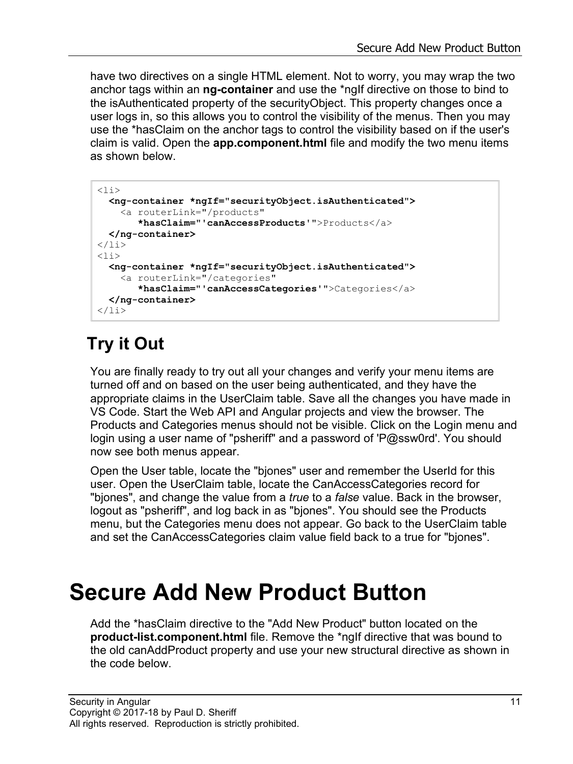have two directives on a single HTML element. Not to worry, you may wrap the two anchor tags within an **ng-container** and use the \*ngIf directive on those to bind to the isAuthenticated property of the securityObject. This property changes once a user logs in, so this allows you to control the visibility of the menus. Then you may use the \*hasClaim on the anchor tags to control the visibility based on if the user's claim is valid. Open the **app.component.html** file and modify the two menu items as shown below.

```
\langleli>
   <ng-container *ngIf="securityObject.isAuthenticated">
     <a routerLink="/products"
        *hasClaim="'canAccessProducts'">Products</a>
   </ng-container>
\langle/li>
\langleli\rangle <ng-container *ngIf="securityObject.isAuthenticated">
     <a routerLink="/categories"
        *hasClaim="'canAccessCategories'">Categories</a>
   </ng-container>
\langle/li>
```
### **Try it Out**

You are finally ready to try out all your changes and verify your menu items are turned off and on based on the user being authenticated, and they have the appropriate claims in the UserClaim table. Save all the changes you have made in VS Code. Start the Web API and Angular projects and view the browser. The Products and Categories menus should not be visible. Click on the Login menu and login using a user name of "psheriff" and a password of 'P@ssw0rd'. You should now see both menus appear.

Open the User table, locate the "bjones" user and remember the UserId for this user. Open the UserClaim table, locate the CanAccessCategories record for "bjones", and change the value from a *true* to a *false* value. Back in the browser, logout as "psheriff", and log back in as "bjones". You should see the Products menu, but the Categories menu does not appear. Go back to the UserClaim table and set the CanAccessCategories claim value field back to a true for "bjones".

### **Secure Add New Product Button**

Add the \*hasClaim directive to the "Add New Product" button located on the **product-list.component.html** file. Remove the \*ngIf directive that was bound to the old canAddProduct property and use your new structural directive as shown in the code below.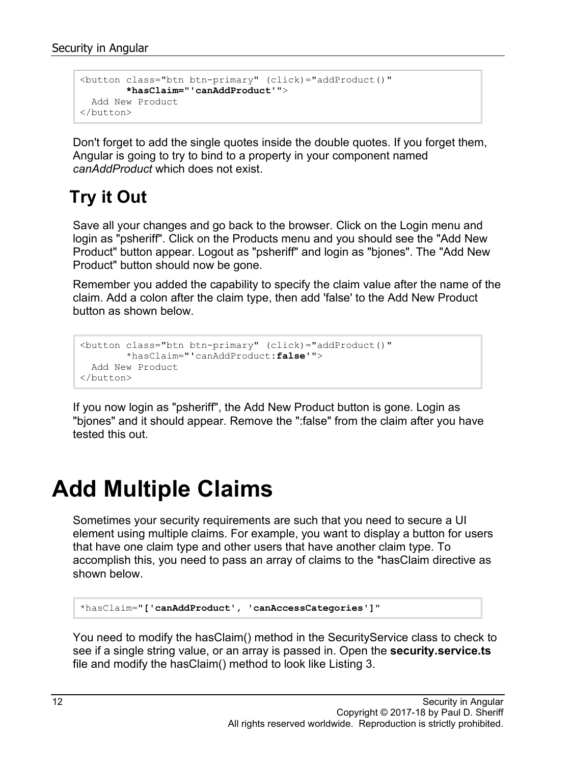```
<button class="btn btn-primary" (click)="addProduct()"
        *hasClaim="'canAddProduct'">
  Add New Product
</button>
```
Don't forget to add the single quotes inside the double quotes. If you forget them, Angular is going to try to bind to a property in your component named *canAddProduct* which does not exist.

### **Try it Out**

Save all your changes and go back to the browser. Click on the Login menu and login as "psheriff". Click on the Products menu and you should see the "Add New Product" button appear. Logout as "psheriff" and login as "bjones". The "Add New Product" button should now be gone.

Remember you added the capability to specify the claim value after the name of the claim. Add a colon after the claim type, then add 'false' to the Add New Product button as shown below.

```
<button class="btn btn-primary" (click)="addProduct()"
       *hasClaim="'canAddProduct:false'">
  Add New Product
</button>
```
If you now login as "psheriff", the Add New Product button is gone. Login as "bjones" and it should appear. Remove the ":false" from the claim after you have tested this out.

### **Add Multiple Claims**

Sometimes your security requirements are such that you need to secure a UI element using multiple claims. For example, you want to display a button for users that have one claim type and other users that have another claim type. To accomplish this, you need to pass an array of claims to the \*hasClaim directive as shown below.

```
*hasClaim="['canAddProduct', 'canAccessCategories']"
```
You need to modify the hasClaim() method in the SecurityService class to check to see if a single string value, or an array is passed in. Open the **security.service.ts** file and modify the hasClaim() method to look like Listing 3.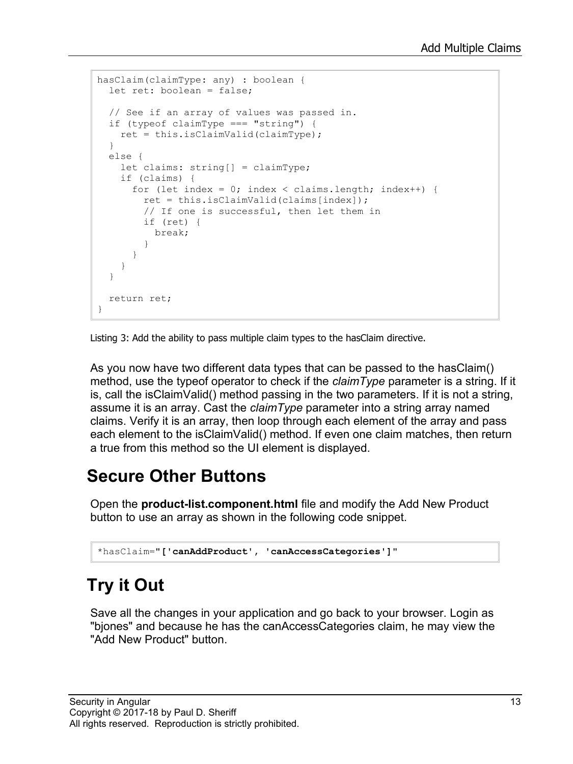```
hasClaim(claimType: any) : boolean {
  let ret: boolean = false;
  // See if an array of values was passed in.
  if (typeof claimType === "string") {
    ret = this.isClaimValid(claimType);
   }
  else {
    let claims: string[] = claimType;
     if (claims) {
     for (let index = 0; index < claims.length; index++) {
         ret = this.isClaimValid(claims[index]);
         // If one is successful, then let them in
         if (ret) {
          break;
 }
       }
     }
   }
  return ret;
}
```
Listing 3: Add the ability to pass multiple claim types to the hasClaim directive.

As you now have two different data types that can be passed to the hasClaim() method, use the typeof operator to check if the *claimType* parameter is a string. If it is, call the isClaimValid() method passing in the two parameters. If it is not a string, assume it is an array. Cast the *claimType* parameter into a string array named claims. Verify it is an array, then loop through each element of the array and pass each element to the isClaimValid() method. If even one claim matches, then return a true from this method so the UI element is displayed.

### **Secure Other Buttons**

Open the **product-list.component.html** file and modify the Add New Product button to use an array as shown in the following code snippet.

```
*hasClaim="['canAddProduct', 'canAccessCategories']"
```
### **Try it Out**

Save all the changes in your application and go back to your browser. Login as "bjones" and because he has the canAccessCategories claim, he may view the "Add New Product" button.